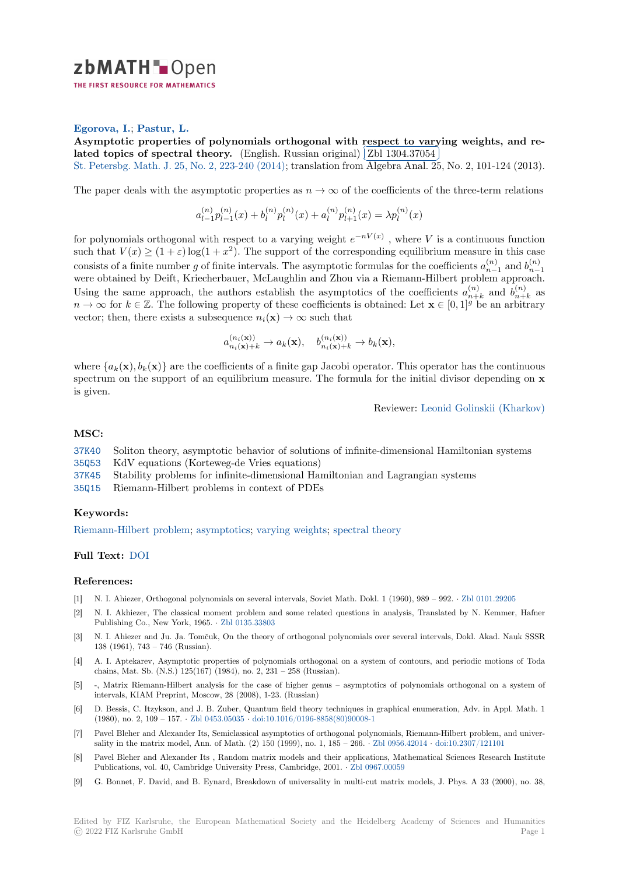

#### **Egorova, I.**; **Pastur, L.**

[A](https://zbmath.org/)symptotic properties of polynomials orthogonal with respect to varying weights, and re-Asymptotic properties of polynomials of mogonal with respect to variated topics of spectral theory. (English. Russian original) [Zbl 1304.37054

St. Petersbg. Math. J. 25, No. 2, 223-240 (2014); translation from Algebra Anal. 25, No. 2, 101-124 (2013).

[The paper deals with the asymptotic properties as](https://zbmath.org/1304.37054)  $n \to \infty$  of the coefficients of the three-term relations

$$
a_{l-1}^{(n)}p_{l-1}^{(n)}(x) + b_l^{(n)}p_l^{(n)}(x) + a_l^{(n)}p_{l+1}^{(n)}(x) = \lambda p_l^{(n)}(x)
$$

for polynomials orthogonal with respect to a varying weight  $e^{-nV(x)}$ , where V is a continuous function such that  $V(x) \ge (1 + \varepsilon) \log(1 + x^2)$ . The support of the corresponding equilibrium measure in this case consists of a finite number *g* of finite intervals. The asymptotic formulas for the coefficients  $a_{n-1}^{(n)}$  and  $b_{n-1}^{(n)}$ were obtained by Deift, Kriecherbauer, McLaughlin and Zhou via a Riemann-Hilbert problem approach. Using the same approach, the authors establish the asymptotics of the coefficients  $a_{n+1}^{(n)}$  $_{n+k}^{(n)}$  and  $b_{n+}^{(n)}$  $\binom{n}{n+k}$  as *n* → ∞ for *k* ∈ Z. The following property of these coefficients is obtained: Let  $\mathbf{x} \in [0,1]^g$  be an arbitrary vector; then, there exists a subsequence  $n_i(\mathbf{x}) \to \infty$  such that

$$
a_{n_i(\mathbf{x})+k}^{(n_i(\mathbf{x}))} \to a_k(\mathbf{x}), \quad b_{n_i(\mathbf{x})+k}^{(n_i(\mathbf{x}))} \to b_k(\mathbf{x}),
$$

where  $\{a_k(\mathbf{x}), b_k(\mathbf{x})\}$  are the coefficients of a finite gap Jacobi operator. This operator has the continuous spectrum on the support of an equilibrium measure. The formula for the initial divisor depending on **x** is given.

Reviewer: Leonid Golinskii (Kharkov)

### **MSC:**

37K40 Soliton theory, asymptotic behavior of solutions of infinite-dimensio[nal Hamiltonian systems](https://zbmath.org/authors/?q=golinskii.leonid-b) 35Q53 KdV equations (Korteweg-de Vries equations) 37K45 Stability problems for infinite-dimensional Hamiltonian and Lagrangian systems 35Q15 Riemann-Hilbert problems in context of PDEs

# **[Keyw](https://zbmath.org/classification/?q=cc:35Q53)ords:**

[Riema](https://zbmath.org/classification/?q=cc:37K45)nn-Hilbert problem; asymptotics; varying weights; spectral theory

### **Full Text:** DOI

## **[References:](https://zbmath.org/?q=ut:Riemann-Hilbert+problem)**

- [1] N. I. Ahiezer, Orthogonal polynomials on several intervals, Soviet Math. Dokl. 1 (1960), 989 992. *·* Zbl 0101.29205
- [2] N. I. Ak[hiezer,](https://dx.doi.org/10.1090/S1061-0022-2014-01287-3) The classical moment problem and some related questions in analysis, Translated by N. Kemmer, Hafner Publishing Co., New York, 1965. *·* Zbl 0135.33803
- [3] N. I. Ahiezer and Ju. Ja. Tomčuk, On the theory of orthogonal polynomials over several intervals, Dokl. Akad. Nauk SSSR 138 (1961), 743 – 746 (Russian).
- [4] A. I. Aptekarev, Asymptotic properties of polynomials orthogonal on a system of contours, and periodic motions of Toda chains, Mat. Sb. (N.S.) 125(167)([1984\), no. 2, 231](https://zbmath.org/0135.33803) – 258 (Russian).
- [5] -, Matrix Riemann-Hilbert analysis for the case of higher genus asymptotics of polynomials orthogonal on a system of intervals, KIAM Preprint, Moscow, 28 (2008), 1-23. (Russian)
- [6] D. Bessis, C. Itzykson, and J. B. Zuber, Quantum field theory techniques in graphical enumeration, Adv. in Appl. Math. 1 (1980), no. 2, 109 – 157. *·* Zbl 0453.05035 *·* doi:10.1016/0196-8858(80)90008-1
- [7] Pavel Bleher and Alexander Its, Semiclassical asymptotics of orthogonal polynomials, Riemann-Hilbert problem, and universality in the matrix model, Ann. of Math. (2) 150 (1999), no. 1, 185 – 266. *·* Zbl 0956.42014 *·* doi:10.2307/121101
- [8] Pavel Bleher and Alexander Its , Random matrix models and their applications, Mathematical Sciences Research Institute Publications, vol. 40, Cam[bridge Universi](https://zbmath.org/0453.05035)ty [Press, Cambridge, 2001.](https://dx.doi.org/10.1016/0196-8858(80)90008-1) *·* Zbl 0967.00059
- [9] G. Bonnet, F. David, and B. Eynard, Breakdown of universality in multi-cut matrix models, J. Phys. A 33 (2000), no. 38,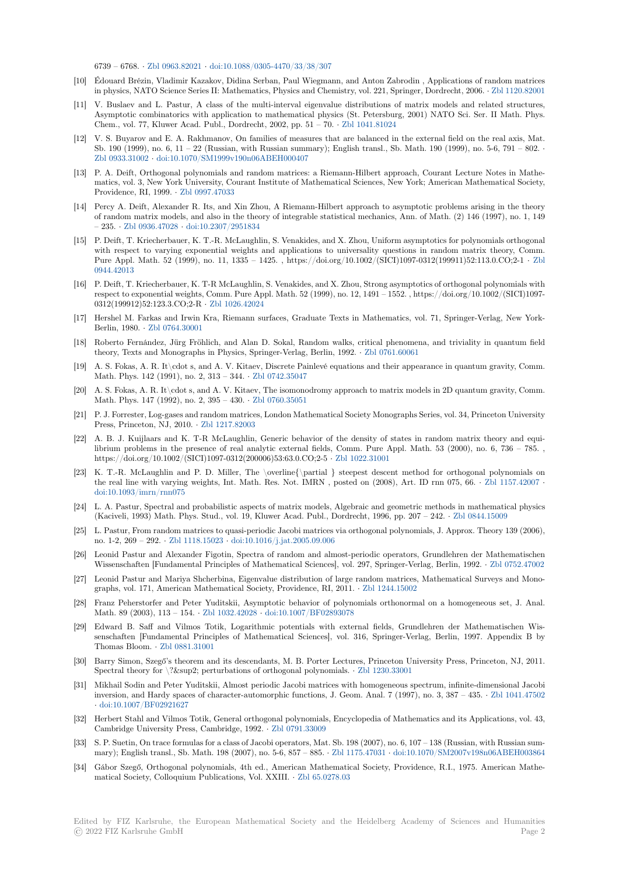6739 – 6768. *·* Zbl 0963.82021 *·* doi:10.1088/0305-4470/33/38/307

- [10] Édouard Brézin, Vladimir Kazakov, Didina Serban, Paul Wiegmann, and Anton Zabrodin , Applications of random matrices in physics, NATO Science Series II: Mathematics, Physics and Chemistry, vol. 221, Springer, Dordrecht, 2006. *·* Zbl 1120.82001
- [11] V. Buslaev and L. Pastur, A class of the multi-interval eigenvalue distributions of matrix models and related structures, Asymptotic co[mbinatorics wit](https://zbmath.org/0963.82021)h [application to mathematical phys](https://dx.doi.org/10.1088/0305-4470/33/38/307)ics (St. Petersburg, 2001) NATO Sci. Ser. II Math. Phys. Chem., vol. 77, Kluwer Acad. Publ., Dordrecht, 2002, pp. 51 – 70. *·* Zbl 1041.81024
- [12] V. S. Buyarov and E. A. Rakhmanov, On families of measures that are balanced in the external field on the [real axis, Mat.](https://zbmath.org/1120.82001) Sb. 190 (1999), no. 6, 11 – 22 (Russian, with Russian summary); English transl., Sb. Math. 190 (1999), no. 5-6, 791 – 802. *·* Zbl 0933.31002 *·* doi:10.1070/SM1999v190n06ABEH000407
- [13] P. A. Deift, Orthogonal polynomials and random matrices: a Riem[ann-Hilbert app](https://zbmath.org/1041.81024)roach, Courant Lecture Notes in Mathematics, vol. 3, New York University, Courant Institute of Mathematical Sciences, New York; American Mathematical Society, Providence, RI, 1999. *·* Zbl 0997.47033
- [14] [Percy A. Deift,](https://zbmath.org/0933.31002) [Alexander R. Its, and Xin Zhou, A Rieman](https://dx.doi.org/10.1070/SM1999v190n06ABEH000407)n-Hilbert approach to asymptotic problems arising in the theory of random matrix models, and also in the theory of integrable statistical mechanics, Ann. of Math. (2) 146 (1997), no. 1, 149 – 235. *·* Zbl 0936.47028 *·* doi:10.2307/2951834
- [15] P. Deift, T. Kriecherba[uer, K. T.-R. Mc](https://zbmath.org/0997.47033)Laughlin, S. Venakides, and X. Zhou, Uniform asymptotics for polynomials orthogonal with respect to varying exponential weights and applications to universality questions in random matrix theory, Comm. Pure Appl. Math. 52 (1999), no. 11, 1335 – 1425. , https://doi.org/10.1002/(SICI)1097-0312(199911)52:113.0.CO;2-1 *·* Zbl 0944.42013
- [16] P. Deift[, T. Kriecherbau](https://zbmath.org/0936.47028)e[r, K. T-R McLaughlin](https://dx.doi.org/10.2307/2951834), S. Venakides, and X. Zhou, Strong asymptotics of orthogonal polynomials with respect to exponential weights, Comm. Pure Appl. Math. 52 (1999), no. 12, 1491 – 1552. , https://doi.org/10.1002/(SICI)1097- 0312(199912)52:123.3.CO;2-R *·* Zbl 1026.42024
- [17] [Hershel M.](https://zbmath.org/0944.42013) Farkas and Irwin Kra, Riemann surfaces, Graduate Texts in Mathematics, vol. 71, Springer-Verlag, New Y[ork-](https://zbmath.org/0944.42013)Berlin, 1980. *·* Zbl 0764.30001
- [18] Roberto Fernández, Jürg Fröhlich, and Alan D. Sokal, Random walks, critical phenomena, and triviality in quantum field theory, Texts and Monographs [in Physics, Spri](https://zbmath.org/1026.42024)nger-Verlag, Berlin, 1992. *·* Zbl 0761.60061
- [19] A. S. Fokas, A. R. It\cdot s, and A. V. Kitaev, Discrete Painlevé equations and their appearance in quantum gravity, Comm. Math. Phys. 1[42 \(1991\), no. 2](https://zbmath.org/0764.30001), 313 – 344. *·* Zbl 0742.35047
- [20] A. S. Fokas, A. R. It\cdot s, and A. V. Kitaev, The isomonodromy approach to matrix models in 2D quantum gravity, Comm. Math. Phys. 147 (1992), no. 2, 395 – 430. *·* Zbl 0760.35051
- [21] P. J. Forrester, Log-gases and random matrices, London Mathematical Society Monographs Series, vol. 34, Princeton University Press, Princeton, NJ, 2010. *·* Zbl 1217.8200[3](https://zbmath.org/0742.35047)
- [22] A. B. J. Kuijlaars and K. T-R McLaughlin, Generic behavior of the density of states in random matrix theory and equilibrium problems in the presence of reala[nalytic external](https://zbmath.org/0760.35051) fields, Comm. Pure Appl. Math. 53 (2000), no. 6, 736 – 785. , https://doi.org/10.1002/(SICI)1097-0312(200006)53:63.0.CO;2-5 *·* Zbl 1022.31001
- [23] K. T.-R. McLaughlin and P[. D. Miller, Th](https://zbmath.org/1217.82003)e \overline{\partial } steepest descent method for orthogonal polynomials on the real line with varying weights, Int. Math. Res. Not. IMRN , posted on (2008), Art. ID rnn 075, 66. *·* Zbl 1157.42007 *·* doi:10.1093/imrn/rnn075
- [24] L. A. Pastur, Spectral and probabilistic aspects of matrix models, [Algebraic and g](https://zbmath.org/1022.31001)eometric methods in mathematical physics (Kaciveli, 1993) Math. Phys. Stud., vol. 19, Kluwer Acad. Publ., Dordrecht, 1996, pp. 207 – 242. *·* Zbl 0844.15009
- [25] L. Pastur, From random matrices to quasi-periodic Jacobi matrices via orthogonal polynomials, J. Approx. T[heory 139 \(2006](https://zbmath.org/1157.42007)), [no. 1-2, 269 – 292.](https://dx.doi.org/10.1093/imrn/rnn075) *·* Zbl 1118.15023 *·* doi:10.1016/j.jat.2005.09.006
- [26] Leonid Pastur and Alexander Figotin, Spectra of random and almost-periodic operators, Grundlehren der Mathematischen Wissenschaften [Fundamental Principles of Mathematical Sciences], vol. 297, Springer-Verlag, Berl[in, 1992.](https://zbmath.org/0844.15009) *·* Zbl 0752.47002
- [27] Leonid Pastur and Mariya Shcherbina, Eigenvalue distribution of large random matrices, Mathematical Surveys and Monographs, vol. 171, A[merican Mathem](https://zbmath.org/1118.15023)at[ical Society, Providence, RI,](https://dx.doi.org/10.1016/j.jat.2005.09.006) 2011. *·* Zbl 1244.15002
- [28] Franz Peherstorfer and Peter Yuditskii, Asymptotic behavior of polynomials orthonormal on a homogeneous set, J. Anal. Math. 89 (2003), 113 – 154. *·* Zbl 1032.42028 *·* doi:10.1007/BF02893078
- [29] Edward B. Saff and Vilmos Totik, Logarithmic potentials with external fields, Grundlehren der Mathematischen Wissenschaften [Fundamental Principles of Mathematical Sciences], vol. 31[6, Springer-Ver](https://zbmath.org/1244.15002)lag, Berlin, 1997. Appendix B by Thomas Bloom. *·* Zbl 0881.31001
- [30] Barry Simon, Szegő's theore[m and its descen](https://zbmath.org/1032.42028)d[ants, M. B. Porter Lectur](https://dx.doi.org/10.1007/BF02893078)es, Princeton University Press, Princeton, NJ, 2011. Spectral theory for  $\% \sup2$ ; perturbations of orthogonal polynomials. *·* Zbl 1230.33001
- [31] Mikhail Sodin and Peter Yuditskii, Almost periodic Jacobi matrices with homogeneous spectrum, infinite-dimensional Jacobi inversion, and Ha[rdy spaces of ch](https://zbmath.org/0881.31001)aracter-automorphic functions, J. Geom. Anal. 7 (1997), no. 3, 387 – 435. *·* Zbl 1041.47502 *·* doi:10.1007/BF02921627
- [32] Herbert Stahl and Vilmos Totik, General orthogonal polynomials, Encyc[lopedia of Math](https://zbmath.org/1230.33001)ematics and its Applications, vol. 43, Cambridge University Press, Cambridge, 1992. *·* Zbl 0791.33009
- [33] S. P. Suetin, On trace formulas for a class of Jacobi operators, Mat. Sb. 198 (2007), no. 6, 107 138 (Russian, wi[th Russian sum](https://zbmath.org/1041.47502)[mary\); English transl., Sb.](https://dx.doi.org/10.1007/BF02921627) Math. 198 (2007), no. 5-6, 857 – 885. *·* Zbl 1175.47031 *·* doi:10.1070/SM2007v198n06ABEH003864
- [34] Gábor Szegő, Orthogonal polynomials, 4th ed., American Mathematical Society, Providence, R.I., 1975. American Mathematical Society, Colloquium Publications, Vol. XXIII. *·* [Zbl 65.0](https://zbmath.org/0791.33009)278.03